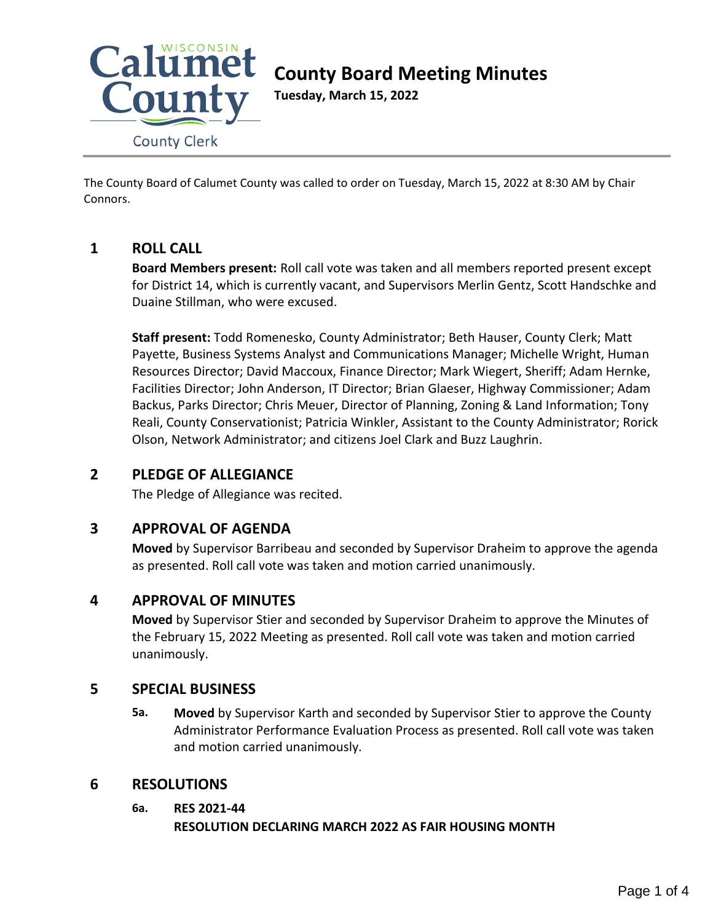

# **County Board Meeting Minutes**

**Tuesday, March 15, 2022**

The County Board of Calumet County was called to order on Tuesday, March 15, 2022 at 8:30 AM by Chair Connors.

# **1 ROLL CALL**

**Board Members present:** Roll call vote was taken and all members reported present except for District 14, which is currently vacant, and Supervisors Merlin Gentz, Scott Handschke and Duaine Stillman, who were excused.

**Staff present:** Todd Romenesko, County Administrator; Beth Hauser, County Clerk; Matt Payette, Business Systems Analyst and Communications Manager; Michelle Wright, Human Resources Director; David Maccoux, Finance Director; Mark Wiegert, Sheriff; Adam Hernke, Facilities Director; John Anderson, IT Director; Brian Glaeser, Highway Commissioner; Adam Backus, Parks Director; Chris Meuer, Director of Planning, Zoning & Land Information; Tony Reali, County Conservationist; Patricia Winkler, Assistant to the County Administrator; Rorick Olson, Network Administrator; and citizens Joel Clark and Buzz Laughrin.

# **2 PLEDGE OF ALLEGIANCE**

The Pledge of Allegiance was recited.

# **3 APPROVAL OF AGENDA**

**Moved** by Supervisor Barribeau and seconded by Supervisor Draheim to approve the agenda as presented. Roll call vote was taken and motion carried unanimously.

# **4 APPROVAL OF MINUTES**

**Moved** by Supervisor Stier and seconded by Supervisor Draheim to approve the Minutes of the February 15, 2022 Meeting as presented. Roll call vote was taken and motion carried unanimously.

# **5 SPECIAL BUSINESS**

**5a. Moved** by Supervisor Karth and seconded by Supervisor Stier to approve the County Administrator Performance Evaluation Process as presented. Roll call vote was taken and motion carried unanimously.

# **6 RESOLUTIONS**

#### **6a. RES 2021-44**

#### **RESOLUTION DECLARING MARCH 2022 AS FAIR HOUSING MONTH**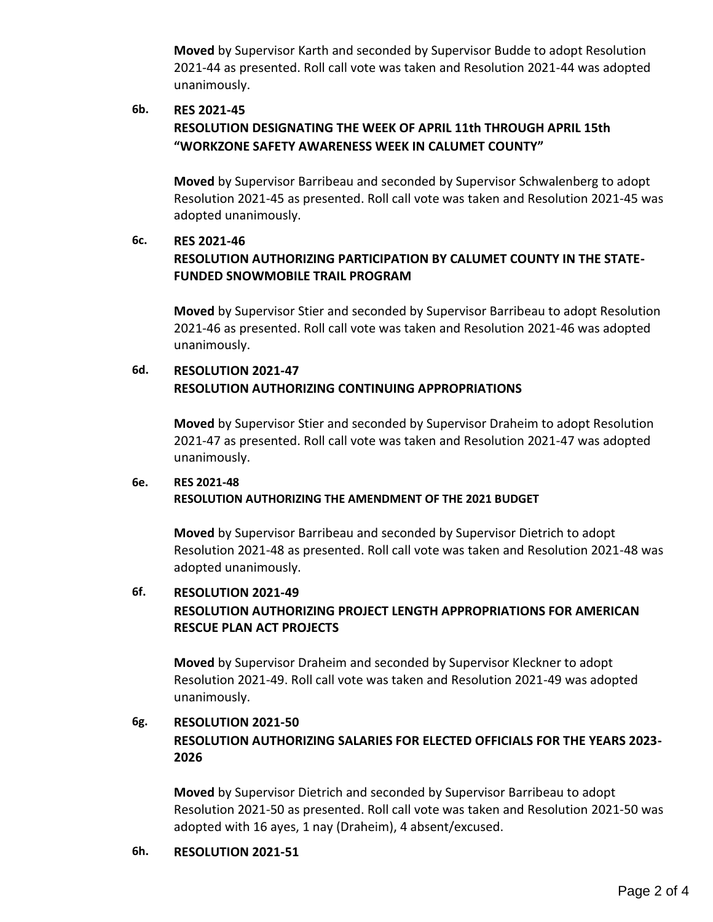**Moved** by Supervisor Karth and seconded by Supervisor Budde to adopt Resolution 2021-44 as presented. Roll call vote was taken and Resolution 2021-44 was adopted unanimously.

## **6b. RES 2021-45 RESOLUTION DESIGNATING THE WEEK OF APRIL 11th THROUGH APRIL 15th "WORKZONE SAFETY AWARENESS WEEK IN CALUMET COUNTY"**

**Moved** by Supervisor Barribeau and seconded by Supervisor Schwalenberg to adopt Resolution 2021-45 as presented. Roll call vote was taken and Resolution 2021-45 was adopted unanimously.

## **6c. RES 2021-46 RESOLUTION AUTHORIZING PARTICIPATION BY CALUMET COUNTY IN THE STATE-FUNDED SNOWMOBILE TRAIL PROGRAM**

**Moved** by Supervisor Stier and seconded by Supervisor Barribeau to adopt Resolution 2021-46 as presented. Roll call vote was taken and Resolution 2021-46 was adopted unanimously.

# **6d. RESOLUTION 2021-47 RESOLUTION AUTHORIZING CONTINUING APPROPRIATIONS**

**Moved** by Supervisor Stier and seconded by Supervisor Draheim to adopt Resolution 2021-47 as presented. Roll call vote was taken and Resolution 2021-47 was adopted unanimously.

# **6e. RES 2021-48 RESOLUTION AUTHORIZING THE AMENDMENT OF THE 2021 BUDGET**

**Moved** by Supervisor Barribeau and seconded by Supervisor Dietrich to adopt Resolution 2021-48 as presented. Roll call vote was taken and Resolution 2021-48 was adopted unanimously.

# **6f. RESOLUTION 2021-49 RESOLUTION AUTHORIZING PROJECT LENGTH APPROPRIATIONS FOR AMERICAN RESCUE PLAN ACT PROJECTS**

**Moved** by Supervisor Draheim and seconded by Supervisor Kleckner to adopt Resolution 2021-49. Roll call vote was taken and Resolution 2021-49 was adopted unanimously.

# **6g. RESOLUTION 2021-50 RESOLUTION AUTHORIZING SALARIES FOR ELECTED OFFICIALS FOR THE YEARS 2023- 2026**

**Moved** by Supervisor Dietrich and seconded by Supervisor Barribeau to adopt Resolution 2021-50 as presented. Roll call vote was taken and Resolution 2021-50 was adopted with 16 ayes, 1 nay (Draheim), 4 absent/excused.

#### **6h. RESOLUTION 2021-51**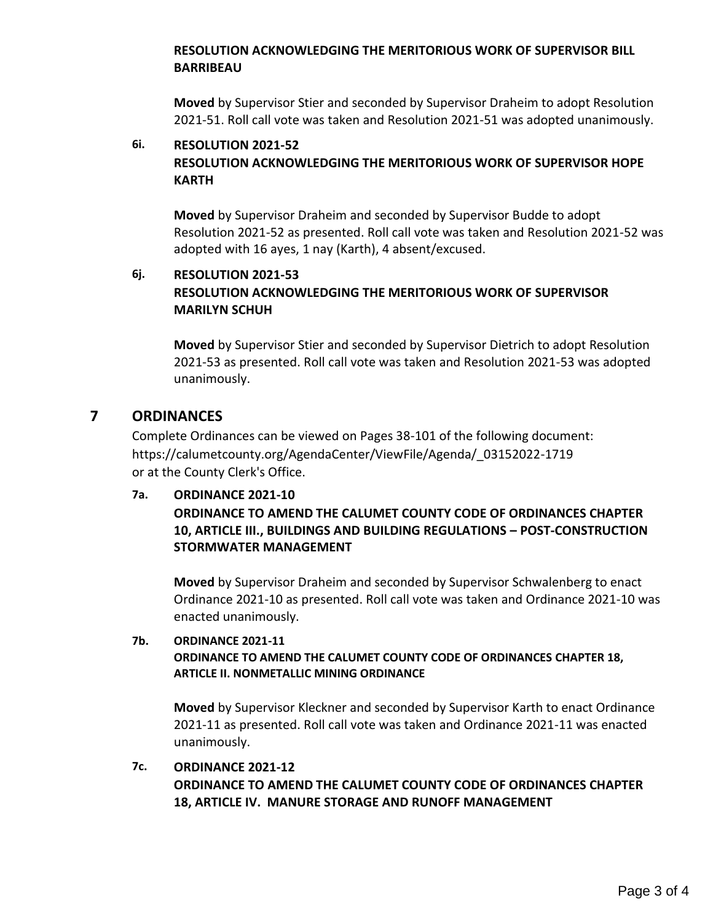#### **RESOLUTION ACKNOWLEDGING THE MERITORIOUS WORK OF SUPERVISOR BILL BARRIBEAU**

**Moved** by Supervisor Stier and seconded by Supervisor Draheim to adopt Resolution 2021-51. Roll call vote was taken and Resolution 2021-51 was adopted unanimously.

#### **6i. RESOLUTION 2021-52 RESOLUTION ACKNOWLEDGING THE MERITORIOUS WORK OF SUPERVISOR HOPE KARTH**

**Moved** by Supervisor Draheim and seconded by Supervisor Budde to adopt Resolution 2021-52 as presented. Roll call vote was taken and Resolution 2021-52 was adopted with 16 ayes, 1 nay (Karth), 4 absent/excused.

# **6j. RESOLUTION 2021-53 RESOLUTION ACKNOWLEDGING THE MERITORIOUS WORK OF SUPERVISOR MARILYN SCHUH**

**Moved** by Supervisor Stier and seconded by Supervisor Dietrich to adopt Resolution 2021-53 as presented. Roll call vote was taken and Resolution 2021-53 was adopted unanimously.

## **7 ORDINANCES**

Complete Ordinances can be viewed on Pages 38-101 of the following document: https://calumetcounty.org/AgendaCenter/ViewFile/Agenda/\_03152022-1719 or at the County Clerk's Office.

#### **7a. ORDINANCE 2021-10**

#### **ORDINANCE TO AMEND THE CALUMET COUNTY CODE OF ORDINANCES CHAPTER 10, ARTICLE III., BUILDINGS AND BUILDING REGULATIONS – POST-CONSTRUCTION STORMWATER MANAGEMENT**

**Moved** by Supervisor Draheim and seconded by Supervisor Schwalenberg to enact Ordinance 2021-10 as presented. Roll call vote was taken and Ordinance 2021-10 was enacted unanimously.

#### **7b. ORDINANCE 2021-11 ORDINANCE TO AMEND THE CALUMET COUNTY CODE OF ORDINANCES CHAPTER 18, ARTICLE II. NONMETALLIC MINING ORDINANCE**

**Moved** by Supervisor Kleckner and seconded by Supervisor Karth to enact Ordinance 2021-11 as presented. Roll call vote was taken and Ordinance 2021-11 was enacted unanimously.

## **7c. ORDINANCE 2021-12 ORDINANCE TO AMEND THE CALUMET COUNTY CODE OF ORDINANCES CHAPTER 18, ARTICLE IV. MANURE STORAGE AND RUNOFF MANAGEMENT**